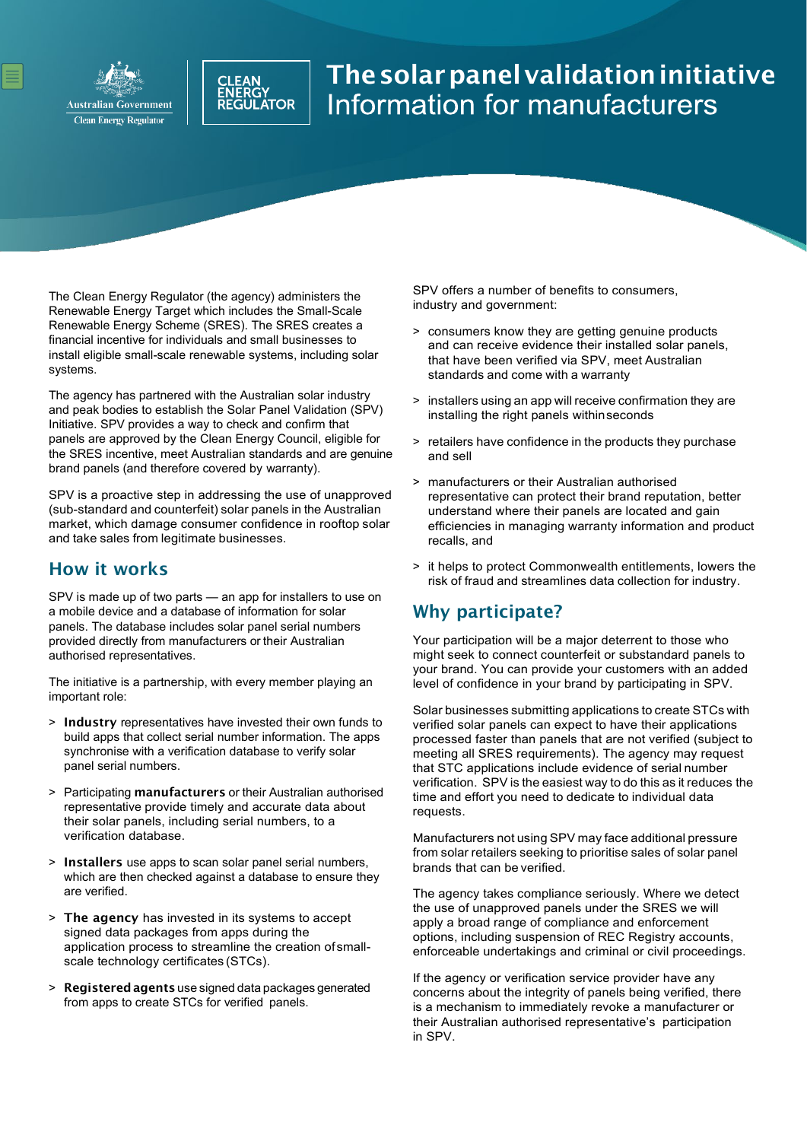



# The solar panel validation initiative<br>Information for manufacturers

The Clean Energy Regulator (the agency) administers the Renewable Energy Target which includes the Small-Scale Renewable Energy Scheme (SRES). The SRES creates a financial incentive for individuals and small businesses to install eligible small-scale renewable systems, including solar systems.

The agency has partnered with the Australian solar industry and peak bodies to establish the Solar Panel Validation (SPV) Initiative. SPV provides a way to check and confirm that panels are approved by the Clean Energy Council, eligible for the SRES incentive, meet Australian standards and are genuine brand panels (and therefore covered by warranty).

SPV is a proactive step in addressing the use of unapproved (sub-standard and counterfeit) solar panels in the Australian market, which damage consumer confidence in rooftop solar and take sales from legitimate businesses.

#### How it works

SPV is made up of two parts — an app for installers to use on a mobile device and a database of information for solar panels. The database includes solar panel serial numbers provided directly from manufacturers or their Australian authorised representatives.

The initiative is a partnership, with every member playing an important role:

- > Industry representatives have invested their own funds to build apps that collect serial number information. The apps synchronise with a verification database to verify solar panel serial numbers.
- > Participating manufacturers or their Australian authorised representative provide timely and accurate data about their solar panels, including serial numbers, to a verification database.
- > Installers use apps to scan solar panel serial numbers, which are then checked against a database to ensure they are verified.
- > The agency has invested in its systems to accept signed data packages from apps during the application process to streamline the creation ofsmallscale technology certificates (STCs).
- > Registered agents use signed data packages generated from apps to create STCs for verified panels.

SPV offers a number of benefits to consumers, industry and government:

- > consumers know they are getting genuine products and can receive evidence their installed solar panels, that have been verified via SPV, meet Australian standards and come with a warranty
- > installers using an app will receive confirmation they are installing the right panels within seconds
- > retailers have confidence in the products they purchase and sell
- > manufacturers or their Australian authorised representative can protect their brand reputation, better understand where their panels are located and gain efficiencies in managing warranty information and product recalls, and
- > it helps to protect Commonwealth entitlements, lowers the risk of fraud and streamlines data collection for industry.

#### Why participate?

Your participation will be a major deterrent to those who might seek to connect counterfeit or substandard panels to your brand. You can provide your customers with an added level of confidence in your brand by participating in SPV.

Solar businesses submitting applications to create STCs with verified solar panels can expect to have their applications processed faster than panels that are not verified (subject to meeting all SRES requirements). The agency may request that STC applications include evidence of serial number verification. SPV is the easiest way to do this as it reduces the time and effort you need to dedicate to individual data requests.

Manufacturers not using SPV may face additional pressure from solar retailers seeking to prioritise sales of solar panel brands that can be verified.

The agency takes compliance seriously. Where we detect the use of unapproved panels under the SRES we will apply a broad range of compliance and enforcement options, including suspension of REC Registry accounts, enforceable undertakings and criminal or civil proceedings.

If the agency or verification service provider have any concerns about the integrity of panels being verified, there is a mechanism to immediately revoke a manufacturer or their Australian authorised representative's participation in SPV.